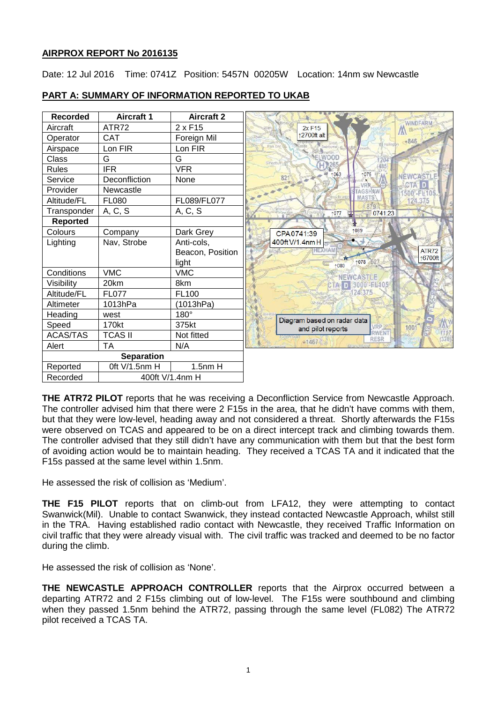## **AIRPROX REPORT No 2016135**

Date: 12 Jul 2016 Time: 0741Z Position: 5457N 00205W Location: 14nm sw Newcastle

| <b>Recorded</b>   | <b>Aircraft 1</b> | <b>Aircraft 2</b>   |                                         |
|-------------------|-------------------|---------------------|-----------------------------------------|
| Aircraft          | ATR72             | 2 x F <sub>15</sub> | <b>WINDFARM</b><br>$2x$ F <sub>15</sub> |
| Operator          | <b>CAT</b>        | Foreign Mil         | 2700ft alt<br>$-846$                    |
| Airspace          | Lon FIR           | Lon FIR             | Park Er                                 |
| Class             | G                 | G                   | ELWOOD<br>204<br>Shortum                |
| <b>Rules</b>      | <b>IFR</b>        | <b>VFR</b>          | 1075<br>1063                            |
| Service           | Deconfliction     | None                | NEWCASTLE<br>821                        |
| Provider          | Newcastle         |                     | 500'-FL105                              |
| Altitude/FL       | <b>FL080</b>      | FL089/FL077         | <b>MAS</b><br>124.375                   |
| Transponder       | A, C, S           | A, C, S             | 0741:23<br>†077                         |
| <b>Reported</b>   |                   |                     |                                         |
| Colours           | Company           | Dark Grey           | 1089<br>CPA0741:39                      |
| Lighting          | Nav, Strobe       | Anti-cols,          | 400ft V/1.4nm H                         |
|                   |                   | Beacon, Position    | ATR72<br>16700ft                        |
|                   |                   | light               | †078<br>1080                            |
| Conditions        | <b>VMC</b>        | <b>VMC</b>          | NEWCASTLE                               |
| Visibility        | 20km              | 8km                 | 3000年长405                               |
| Altitude/FL       | <b>FL077</b>      | <b>FL100</b>        | 124,375                                 |
| Altimeter         | 1013hPa           | (1013hPa)           |                                         |
| Heading           | west              | 180°                | Diagram based on radar data             |
| Speed             | 170kt             | 375kt               | VRP Z<br>1001<br>and pilot reports      |
| <b>ACAS/TAS</b>   | <b>TCAS II</b>    | Not fitted          | RWENT<br><b>CONVIDER</b><br><b>RESR</b> |
| Alert             | <b>TA</b>         | N/A                 | •1467                                   |
| <b>Separation</b> |                   |                     |                                         |
| Reported          | 0ft V/1.5nm H     | $1.5nm$ H           |                                         |
| Recorded          | 400ft V/1.4nm H   |                     |                                         |

# **PART A: SUMMARY OF INFORMATION REPORTED TO UKAB**

**THE ATR72 PILOT** reports that he was receiving a Deconfliction Service from Newcastle Approach. The controller advised him that there were 2 F15s in the area, that he didn't have comms with them, but that they were low-level, heading away and not considered a threat. Shortly afterwards the F15s were observed on TCAS and appeared to be on a direct intercept track and climbing towards them. The controller advised that they still didn't have any communication with them but that the best form of avoiding action would be to maintain heading. They received a TCAS TA and it indicated that the F15s passed at the same level within 1.5nm.

He assessed the risk of collision as 'Medium'.

**THE F15 PILOT** reports that on climb-out from LFA12, they were attempting to contact Swanwick(Mil). Unable to contact Swanwick, they instead contacted Newcastle Approach, whilst still in the TRA. Having established radio contact with Newcastle, they received Traffic Information on civil traffic that they were already visual with. The civil traffic was tracked and deemed to be no factor during the climb.

He assessed the risk of collision as 'None'.

**THE NEWCASTLE APPROACH CONTROLLER** reports that the Airprox occurred between a departing ATR72 and 2 F15s climbing out of low-level. The F15s were southbound and climbing when they passed 1.5nm behind the ATR72, passing through the same level (FL082) The ATR72 pilot received a TCAS TA.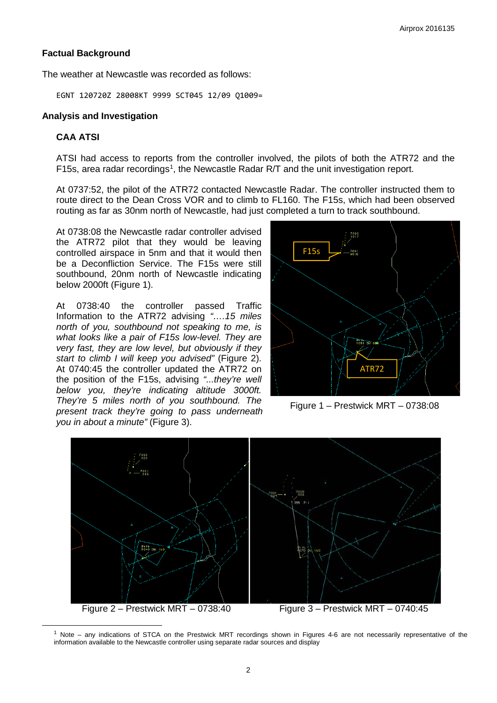### **Factual Background**

The weather at Newcastle was recorded as follows:

EGNT 120720Z 28008KT 9999 SCT045 12/09 Q1009=

#### **Analysis and Investigation**

## **CAA ATSI**

<span id="page-1-0"></span>l

ATSI had access to reports from the controller involved, the pilots of both the ATR72 and the F[1](#page-1-0)5s, area radar recordings<sup>1</sup>, the Newcastle Radar R/T and the unit investigation report.

At 0737:52, the pilot of the ATR72 contacted Newcastle Radar. The controller instructed them to route direct to the Dean Cross VOR and to climb to FL160. The F15s, which had been observed routing as far as 30nm north of Newcastle, had just completed a turn to track southbound.

At 0738:08 the Newcastle radar controller advised the ATR72 pilot that they would be leaving controlled airspace in 5nm and that it would then be a Deconfliction Service. The F15s were still southbound, 20nm north of Newcastle indicating below 2000ft (Figure 1).

At 0738:40 the controller passed Traffic Information to the ATR72 advising *"….15 miles north of you, southbound not speaking to me, is what looks like a pair of F15s low-level. They are very fast, they are low level, but obviously if they start to climb I will keep you advised"* (Figure 2). At 0740:45 the controller updated the ATR72 on the position of the F15s, advising *"...they're well below you, they're indicating altitude 3000ft. They're 5 miles north of you southbound. The present track they're going to pass underneath you in about a minute"* (Figure 3).



Figure 1 – Prestwick MRT – 0738:08



 $1$  Note – any indications of STCA on the Prestwick MRT recordings shown in Figures 4-6 are not necessarily representative of the information available to the Newcastle controller using separate radar sources and display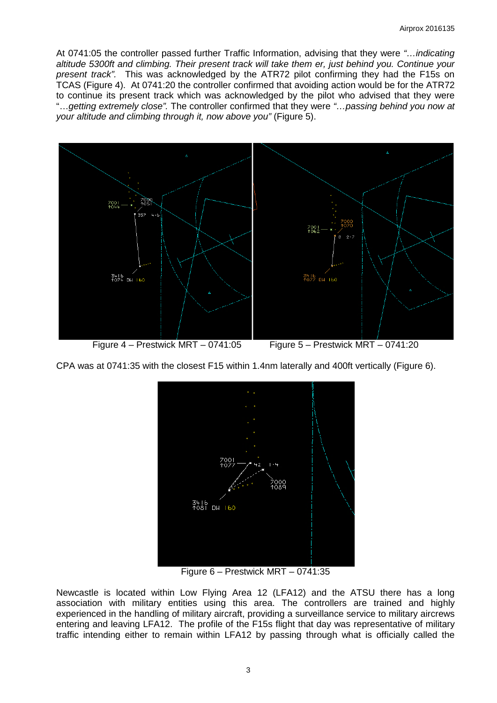At 0741:05 the controller passed further Traffic Information, advising that they were *"…indicating altitude 5300ft and climbing. Their present track will take them er, just behind you. Continue your present track".* This was acknowledged by the ATR72 pilot confirming they had the F15s on TCAS (Figure 4). At 0741:20 the controller confirmed that avoiding action would be for the ATR72 to continue its present track which was acknowledged by the pilot who advised that they were "…*getting extremely close".* The controller confirmed that they were *"…passing behind you now at your altitude and climbing through it, now above you"* (Figure 5).



CPA was at 0741:35 with the closest F15 within 1.4nm laterally and 400ft vertically (Figure 6).



Figure 6 – Prestwick MRT – 0741:35

Newcastle is located within Low Flying Area 12 (LFA12) and the ATSU there has a long association with military entities using this area. The controllers are trained and highly experienced in the handling of military aircraft, providing a surveillance service to military aircrews entering and leaving LFA12. The profile of the F15s flight that day was representative of military traffic intending either to remain within LFA12 by passing through what is officially called the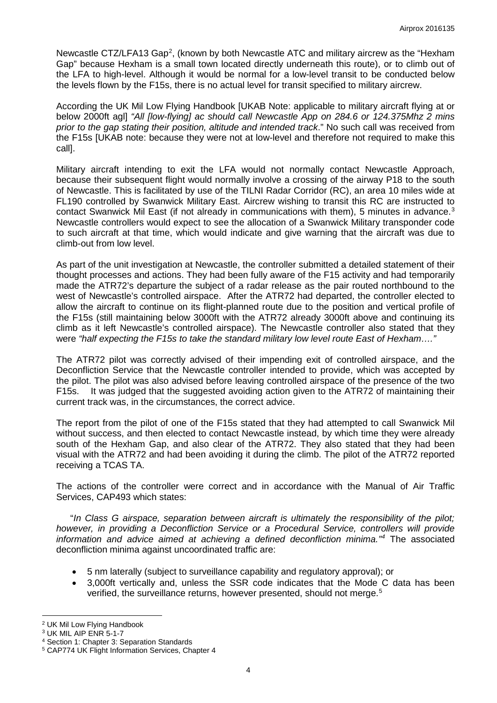Newcastle CTZ/LFA13 Gap<sup>[2](#page-3-0)</sup>, (known by both Newcastle ATC and military aircrew as the "Hexham Gap" because Hexham is a small town located directly underneath this route), or to climb out of the LFA to high-level. Although it would be normal for a low-level transit to be conducted below the levels flown by the F15s, there is no actual level for transit specified to military aircrew.

According the UK Mil Low Flying Handbook [UKAB Note: applicable to military aircraft flying at or below 2000ft agl] *"All [low-flying] ac should call Newcastle App on 284.6 or 124.375Mhz 2 mins prior to the gap stating their position, altitude and intended track*." No such call was received from the F15s [UKAB note: because they were not at low-level and therefore not required to make this call].

Military aircraft intending to exit the LFA would not normally contact Newcastle Approach, because their subsequent flight would normally involve a crossing of the airway P18 to the south of Newcastle. This is facilitated by use of the TILNI Radar Corridor (RC), an area 10 miles wide at FL190 controlled by Swanwick Military East. Aircrew wishing to transit this RC are instructed to contact Swanwick Mil East (if not already in communications with them), 5 minutes in advance.<sup>[3](#page-3-1)</sup> Newcastle controllers would expect to see the allocation of a Swanwick Military transponder code to such aircraft at that time, which would indicate and give warning that the aircraft was due to climb-out from low level.

As part of the unit investigation at Newcastle, the controller submitted a detailed statement of their thought processes and actions. They had been fully aware of the F15 activity and had temporarily made the ATR72's departure the subject of a radar release as the pair routed northbound to the west of Newcastle's controlled airspace. After the ATR72 had departed, the controller elected to allow the aircraft to continue on its flight-planned route due to the position and vertical profile of the F15s (still maintaining below 3000ft with the ATR72 already 3000ft above and continuing its climb as it left Newcastle's controlled airspace). The Newcastle controller also stated that they were *"half expecting the F15s to take the standard military low level route East of Hexham…."*

The ATR72 pilot was correctly advised of their impending exit of controlled airspace, and the Deconfliction Service that the Newcastle controller intended to provide, which was accepted by the pilot. The pilot was also advised before leaving controlled airspace of the presence of the two F15s. It was judged that the suggested avoiding action given to the ATR72 of maintaining their current track was, in the circumstances, the correct advice.

The report from the pilot of one of the F15s stated that they had attempted to call Swanwick Mil without success, and then elected to contact Newcastle instead, by which time they were already south of the Hexham Gap, and also clear of the ATR72. They also stated that they had been visual with the ATR72 and had been avoiding it during the climb. The pilot of the ATR72 reported receiving a TCAS TA.

The actions of the controller were correct and in accordance with the Manual of Air Traffic Services, CAP493 which states:

"*In Class G airspace, separation between aircraft is ultimately the responsibility of the pilot; however, in providing a Deconfliction Service or a Procedural Service, controllers will provide information and advice aimed at achieving a defined deconfliction minima."[4](#page-3-2)* The associated deconfliction minima against uncoordinated traffic are:

- 5 nm laterally (subject to surveillance capability and regulatory approval); or
- 3,000ft vertically and, unless the SSR code indicates that the Mode C data has been verified, the surveillance returns, however presented, should not merge.<sup>[5](#page-3-3)</sup>

 $\overline{\phantom{a}}$ 

<span id="page-3-0"></span><sup>2</sup> UK Mil Low Flying Handbook

<span id="page-3-1"></span><sup>3</sup> UK MIL AIP ENR 5-1-7

<span id="page-3-2"></span><sup>4</sup> Section 1: Chapter 3: Separation Standards

<span id="page-3-3"></span><sup>5</sup> CAP774 UK Flight Information Services, Chapter 4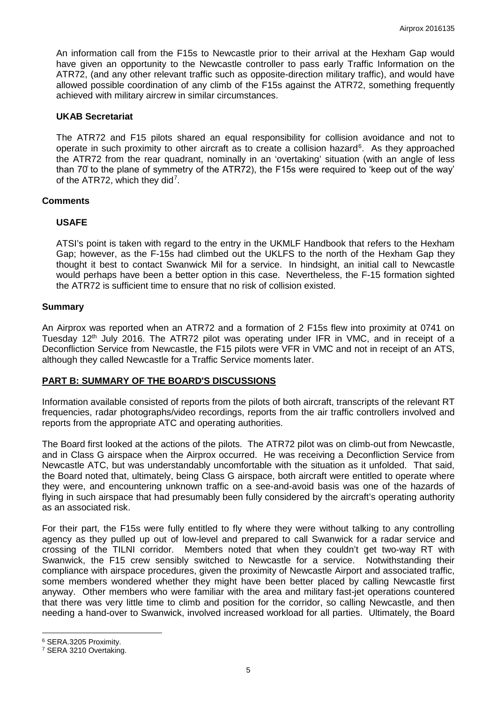An information call from the F15s to Newcastle prior to their arrival at the Hexham Gap would have given an opportunity to the Newcastle controller to pass early Traffic Information on the ATR72, (and any other relevant traffic such as opposite-direction military traffic), and would have allowed possible coordination of any climb of the F15s against the ATR72, something frequently achieved with military aircrew in similar circumstances.

### **UKAB Secretariat**

The ATR72 and F15 pilots shared an equal responsibility for collision avoidance and not to operate in such proximity to other aircraft as to create a collision hazard<sup>[6](#page-4-0)</sup>. As they approached the ATR72 from the rear quadrant, nominally in an 'overtaking' situation (with an angle of less than 70̊ to the plane of symmetry of the ATR72), the F15s were required to 'keep out of the way' of the ATR[7](#page-4-1)2, which they did<sup>7</sup>.

### **Comments**

### **USAFE**

ATSI's point is taken with regard to the entry in the UKMLF Handbook that refers to the Hexham Gap; however, as the F-15s had climbed out the UKLFS to the north of the Hexham Gap they thought it best to contact Swanwick Mil for a service. In hindsight, an initial call to Newcastle would perhaps have been a better option in this case. Nevertheless, the F-15 formation sighted the ATR72 is sufficient time to ensure that no risk of collision existed.

### **Summary**

An Airprox was reported when an ATR72 and a formation of 2 F15s flew into proximity at 0741 on Tuesday 12<sup>th</sup> July 2016. The ATR72 pilot was operating under IFR in VMC, and in receipt of a Deconfliction Service from Newcastle, the F15 pilots were VFR in VMC and not in receipt of an ATS, although they called Newcastle for a Traffic Service moments later.

## **PART B: SUMMARY OF THE BOARD'S DISCUSSIONS**

Information available consisted of reports from the pilots of both aircraft, transcripts of the relevant RT frequencies, radar photographs/video recordings, reports from the air traffic controllers involved and reports from the appropriate ATC and operating authorities.

The Board first looked at the actions of the pilots. The ATR72 pilot was on climb-out from Newcastle, and in Class G airspace when the Airprox occurred. He was receiving a Deconfliction Service from Newcastle ATC, but was understandably uncomfortable with the situation as it unfolded. That said, the Board noted that, ultimately, being Class G airspace, both aircraft were entitled to operate where they were, and encountering unknown traffic on a see-and-avoid basis was one of the hazards of flying in such airspace that had presumably been fully considered by the aircraft's operating authority as an associated risk.

For their part, the F15s were fully entitled to fly where they were without talking to any controlling agency as they pulled up out of low-level and prepared to call Swanwick for a radar service and crossing of the TILNI corridor. Members noted that when they couldn't get two-way RT with Swanwick, the F15 crew sensibly switched to Newcastle for a service. Notwithstanding their compliance with airspace procedures, given the proximity of Newcastle Airport and associated traffic, some members wondered whether they might have been better placed by calling Newcastle first anyway. Other members who were familiar with the area and military fast-jet operations countered that there was very little time to climb and position for the corridor, so calling Newcastle, and then needing a hand-over to Swanwick, involved increased workload for all parties. Ultimately, the Board

l

<span id="page-4-0"></span><sup>6</sup> SERA.3205 Proximity.

<span id="page-4-1"></span><sup>7</sup> SERA 3210 Overtaking.